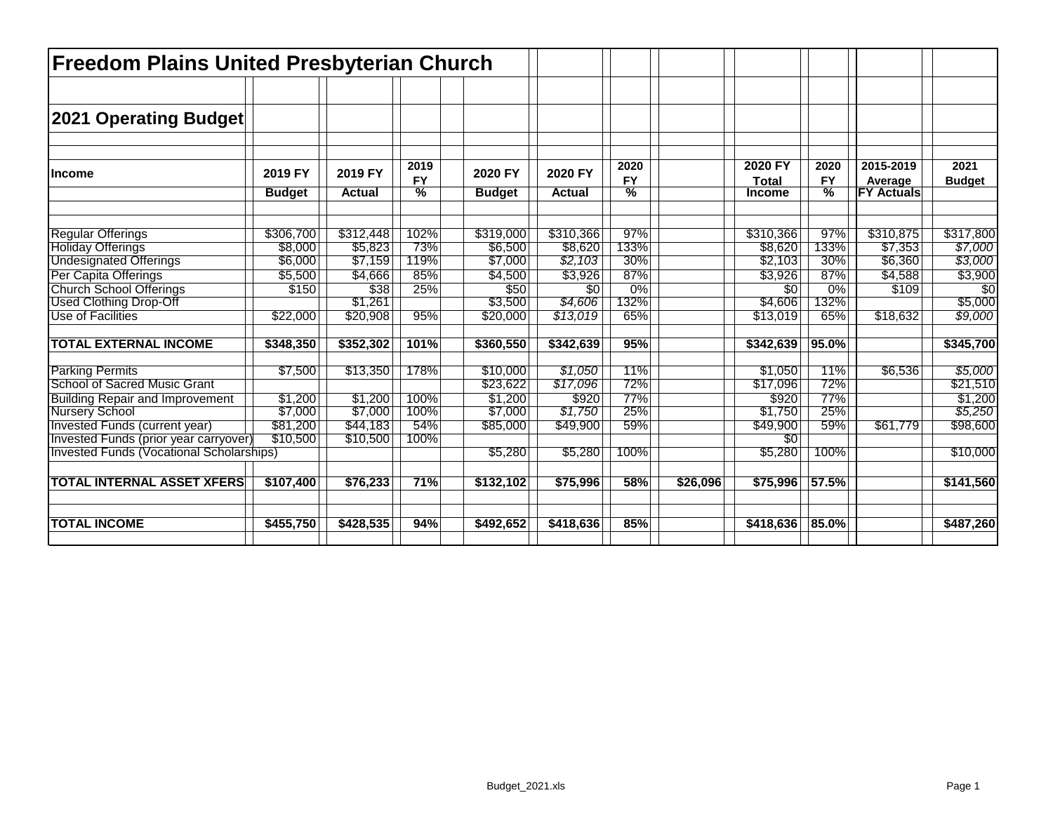| <b>Freedom Plains United Presbyterian Church</b>          |                          |                          |                                    |                          |                          |                        |          |                                          |                        |                                           |                       |
|-----------------------------------------------------------|--------------------------|--------------------------|------------------------------------|--------------------------|--------------------------|------------------------|----------|------------------------------------------|------------------------|-------------------------------------------|-----------------------|
| 2021 Operating Budget                                     |                          |                          |                                    |                          |                          |                        |          |                                          |                        |                                           |                       |
| Income                                                    | 2019 FY<br><b>Budget</b> | 2019 FY<br><b>Actual</b> | 2019<br><b>FY</b><br>$\frac{0}{0}$ | 2020 FY<br><b>Budget</b> | 2020 FY<br><b>Actual</b> | 2020<br><b>FY</b><br>% |          | 2020 FY<br><b>Total</b><br><b>Income</b> | 2020<br><b>FY</b><br>℅ | 2015-2019<br>Average<br><b>FY Actuals</b> | 2021<br><b>Budget</b> |
| <b>Regular Offerings</b>                                  | \$306,700                | \$312,448                | 102%                               | \$319,000                | \$310,366                | 97%                    |          | \$310,366                                | 97%                    | \$310,875                                 | \$317,800             |
| <b>Holiday Offerings</b><br><b>Undesignated Offerings</b> | \$8,000<br>\$6,000       | \$5,823<br>\$7,159       | 73%<br>119%                        | \$6,500<br>\$7,000       | \$8,620<br>\$2,103       | 133%<br>30%            |          | \$8,620<br>\$2,103                       | 133%<br>30%            | \$7,353<br>\$6,360                        | \$7,000<br>\$3,000    |
| Per Capita Offerings                                      | \$5,500                  | \$4,666                  | 85%                                | \$4,500                  | \$3,926                  | 87%                    |          | \$3,926                                  | 87%                    | \$4,588                                   | \$3,900               |
| <b>Church School Offerings</b>                            | \$150                    | $\overline{$38}$         | 25%                                | \$50                     | $\overline{30}$          | 0%                     |          | $\overline{30}$                          | 0%                     | \$109                                     | $\overline{50}$       |
| <b>Used Clothing Drop-Off</b>                             |                          | \$1,261                  |                                    | \$3,500                  | \$4,606                  | 132%                   |          | \$4,606                                  | 132%                   |                                           | \$5,000               |
| Use of Facilities                                         | \$22,000                 | \$20,908                 | 95%                                | \$20,000                 | \$13,019                 | 65%                    |          | \$13,019                                 | 65%                    | \$18,632                                  | \$9,000               |
| <b>TOTAL EXTERNAL INCOME</b>                              | \$348,350                | \$352,302                | 101%                               | \$360,550                | \$342,639                | 95%                    |          | \$342,639                                | 95.0%                  |                                           | \$345,700             |
| <b>Parking Permits</b>                                    | \$7,500                  | \$13,350                 | 178%                               | \$10,000                 | \$1,050                  | 11%                    |          | \$1,050                                  | 11%                    | \$6,536                                   | \$5,000               |
| School of Sacred Music Grant                              |                          |                          |                                    | \$23,622                 | \$17,096                 | 72%                    |          | \$17,096                                 | 72%                    |                                           | \$21,510              |
| <b>Building Repair and Improvement</b><br>Nursery School  | \$1,200                  | \$1,200                  | 100%                               | \$1,200                  | \$920                    | 77%                    |          | \$920                                    | 77%                    |                                           | \$1,200               |
|                                                           | \$7,000                  | \$7,000                  | 100%                               | \$7,000                  | \$1,750                  | 25%                    |          | \$1,750                                  | 25%                    |                                           | \$5,250               |
| <b>Invested Funds (current year)</b>                      | \$81,200                 | \$44,183                 | 54%                                | \$85,000                 | \$49,900                 | 59%                    |          | \$49,900                                 | 59%                    | \$61,779                                  | \$98,600              |
| Invested Funds (prior year carryover)                     | \$10,500                 | \$10,500                 | 100%                               |                          |                          |                        |          | \$0                                      |                        |                                           |                       |
| Invested Funds (Vocational Scholarships)                  |                          |                          |                                    | \$5,280                  | \$5,280                  | 100%                   |          | \$5,280                                  | 100%                   |                                           | \$10,000              |
| <b>TOTAL INTERNAL ASSET XFERS</b>                         | \$107,400                | \$76,233                 | 71%                                | \$132,102                | \$75,996                 | 58%                    | \$26,096 | \$75,996                                 | 57.5%                  |                                           | \$141,560             |
| <b>TOTAL INCOME</b>                                       | \$455,750                | \$428,535                | 94%                                | \$492,652                | \$418,636                | 85%                    |          | \$418,636                                | 85.0%                  |                                           | \$487,260             |
|                                                           |                          |                          |                                    |                          |                          |                        |          |                                          |                        |                                           |                       |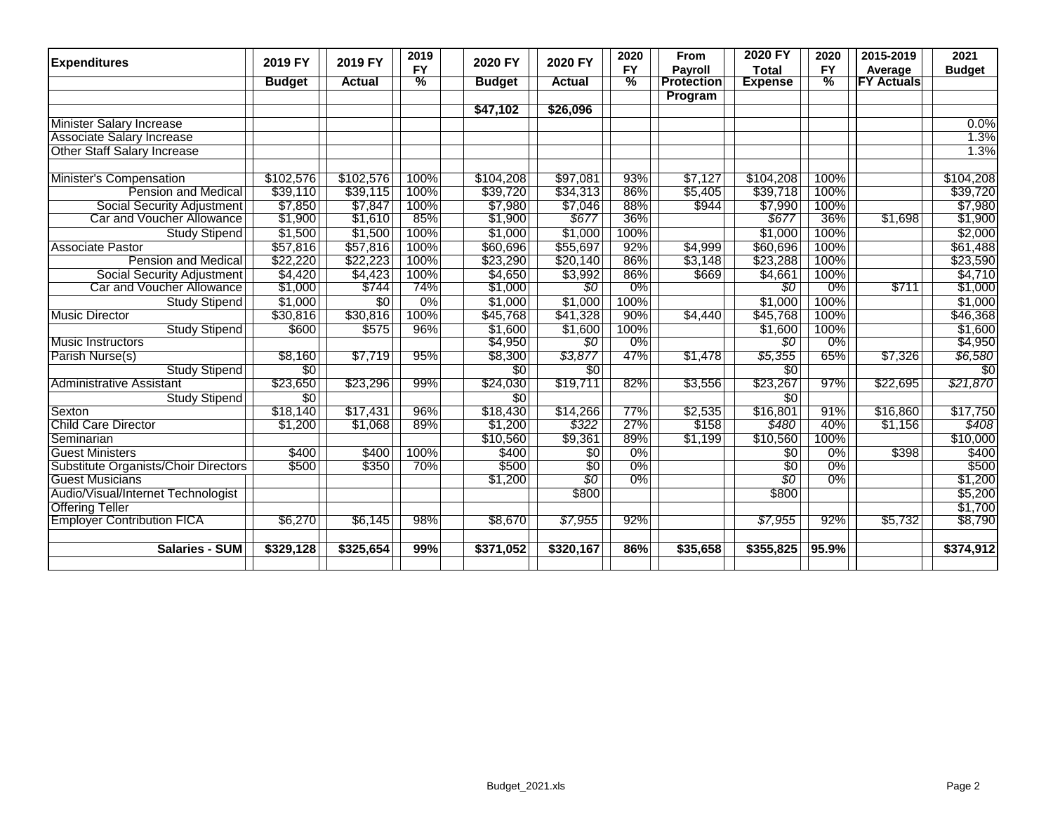| <b>Expenditures</b>                  | 2019 FY         | 2019 FY         | 2019          | 2020 FY         | 2020 FY         | 2020          | From              | 2020 FY         | 2020          | 2015-2019         | 2021            |
|--------------------------------------|-----------------|-----------------|---------------|-----------------|-----------------|---------------|-------------------|-----------------|---------------|-------------------|-----------------|
|                                      |                 |                 | <b>FY</b>     |                 |                 | <b>FY</b>     | <b>Payroll</b>    | <b>Total</b>    | <b>FY</b>     | Average           | <b>Budget</b>   |
|                                      | <b>Budget</b>   | <b>Actual</b>   | $\frac{9}{6}$ | <b>Budget</b>   | <b>Actual</b>   | $\frac{9}{6}$ | <b>Protection</b> | <b>Expense</b>  | $\frac{9}{6}$ | <b>FY Actuals</b> |                 |
|                                      |                 |                 |               |                 |                 |               | Program           |                 |               |                   |                 |
|                                      |                 |                 |               | \$47,102        | \$26,096        |               |                   |                 |               |                   |                 |
| Minister Salary Increase             |                 |                 |               |                 |                 |               |                   |                 |               |                   | 0.0%            |
| <b>Associate Salary Increase</b>     |                 |                 |               |                 |                 |               |                   |                 |               |                   | 1.3%            |
| <b>Other Staff Salary Increase</b>   |                 |                 |               |                 |                 |               |                   |                 |               |                   | 1.3%            |
|                                      |                 |                 |               |                 |                 |               |                   |                 |               |                   |                 |
| <b>Minister's Compensation</b>       | \$102,576       | \$102,576       | 100%          | \$104,208       | \$97,081        | 93%           | \$7,127           | \$104,208       | 100%          |                   | \$104,208       |
| Pension and Medical                  | \$39,110        | \$39,115        | 100%          | \$39,720        | \$34,313        | 86%           | \$5,405           | \$39,718        | 100%          |                   | \$39,720        |
| Social Security Adjustment           | \$7,850         | \$7,847         | 100%          | \$7,980         | \$7,046         | 88%           | \$944             | \$7,990         | 100%          |                   | \$7,980         |
| Car and Voucher Allowance            | \$1,900         | \$1,610         | 85%           | \$1,900         | \$677           | 36%           |                   | \$677           | 36%           | \$1,698           | \$1,900         |
| Study Stipend                        | \$1,500         | \$1,500         | 100%          | \$1,000         | \$1,000         | 100%          |                   | \$1,000         | 100%          |                   | \$2,000         |
| <b>Associate Pastor</b>              | \$57,816        | \$57,816        | 100%          | \$60,696        | \$55,697        | 92%           | \$4,999           | \$60,696        | 100%          |                   | \$61,488        |
| <b>Pension and Medical</b>           | \$22,220        | \$22,223        | 100%          | \$23,290        | \$20,140        | 86%           | \$3,148           | \$23,288        | 100%          |                   | \$23,590        |
| Social Security Adjustment           | \$4,420         | \$4,423         | 100%          | \$4,650         | \$3,992         | 86%           | \$669             | \$4,661         | 100%          |                   | \$4,710         |
| Car and Voucher Allowance            | \$1,000         | \$744           | 74%           | \$1,000         | $\overline{50}$ | 0%            |                   | 80              | 0%            | \$711             | \$1,000         |
| <b>Study Stipend</b>                 | \$1,000         | $\overline{50}$ | 0%            | \$1,000         | \$1,000         | 100%          |                   | \$1,000         | 100%          |                   | \$1,000         |
| <b>Music Director</b>                | \$30,816        | \$30,816        | 100%          | \$45,768        | \$41,328        | 90%           | \$4,440           | \$45,768        | 100%          |                   | \$46,368        |
| <b>Study Stipend</b>                 | \$600           | \$575           | 96%           | \$1,600         | \$1,600         | 100%          |                   | \$1,600         | 100%          |                   | \$1,600         |
| Music Instructors                    |                 |                 |               | \$4,950         | $\overline{50}$ | 0%            |                   | 80              | 0%            |                   | \$4,950         |
| Parish Nurse(s)                      | \$8,160         | \$7,719         | 95%           | \$8,300         | \$3,877         | 47%           | \$1,478           | \$5,355         | 65%           | \$7,326           | \$6,580         |
| Study Stipend                        | $\overline{50}$ |                 |               | $\overline{50}$ | $\overline{50}$ |               |                   | $\overline{30}$ |               |                   | $\overline{50}$ |
| <b>Administrative Assistant</b>      | \$23,650        | \$23,296        | 99%           | \$24,030        | \$19,711        | 82%           | \$3,556           | \$23,267        | 97%           | \$22,695          | \$21,870        |
| Study Stipend                        | $\overline{50}$ |                 |               | $\overline{50}$ |                 |               |                   | $\overline{30}$ |               |                   |                 |
| Sexton                               | \$18,140        | \$17,431        | 96%           | \$18,430        | \$14,266        | 77%           | \$2,535           | \$16,801        | 91%           | \$16,860          | \$17,750        |
| Child Care Director                  | \$1,200         | \$1,068         | 89%           | \$1,200         | \$322           | 27%           | \$158             | \$480           | 40%           | \$1,156           | \$408           |
| Seminarian                           |                 |                 |               | \$10,560        | \$9,361         | 89%           | \$1,199           | \$10,560        | 100%          |                   | \$10,000        |
| <b>Guest Ministers</b>               | \$400           | \$400           | 100%          | \$400           | $\overline{50}$ | $0\%$         |                   | \$0             | $0\%$         | \$398             | \$400           |
| Substitute Organists/Choir Directors | \$500           | \$350           | 70%           | \$500           | $\overline{30}$ | 0%            |                   | $\overline{30}$ | $0\%$         |                   | \$500           |
| <b>Guest Musicians</b>               |                 |                 |               | \$1,200         | \$0             | 0%            |                   | \$0             | 0%            |                   | \$1,200         |
| Audio/Visual/Internet Technologist   |                 |                 |               |                 | \$800           |               |                   | \$800           |               |                   | \$5,200         |
| <b>Offering Teller</b>               |                 |                 |               |                 |                 |               |                   |                 |               |                   | \$1,700         |
| <b>Employer Contribution FICA</b>    | \$6,270         | \$6,145         | 98%           | \$8,670         | \$7,955         | 92%           |                   | \$7,955         | 92%           | \$5,732           | \$8,790         |
|                                      |                 |                 |               |                 |                 |               |                   |                 |               |                   |                 |
| <b>Salaries - SUM</b>                | \$329,128       | \$325,654       | 99%           | \$371,052       | \$320,167       | 86%           | \$35,658          | \$355,825       | 95.9%         |                   | \$374,912       |
|                                      |                 |                 |               |                 |                 |               |                   |                 |               |                   |                 |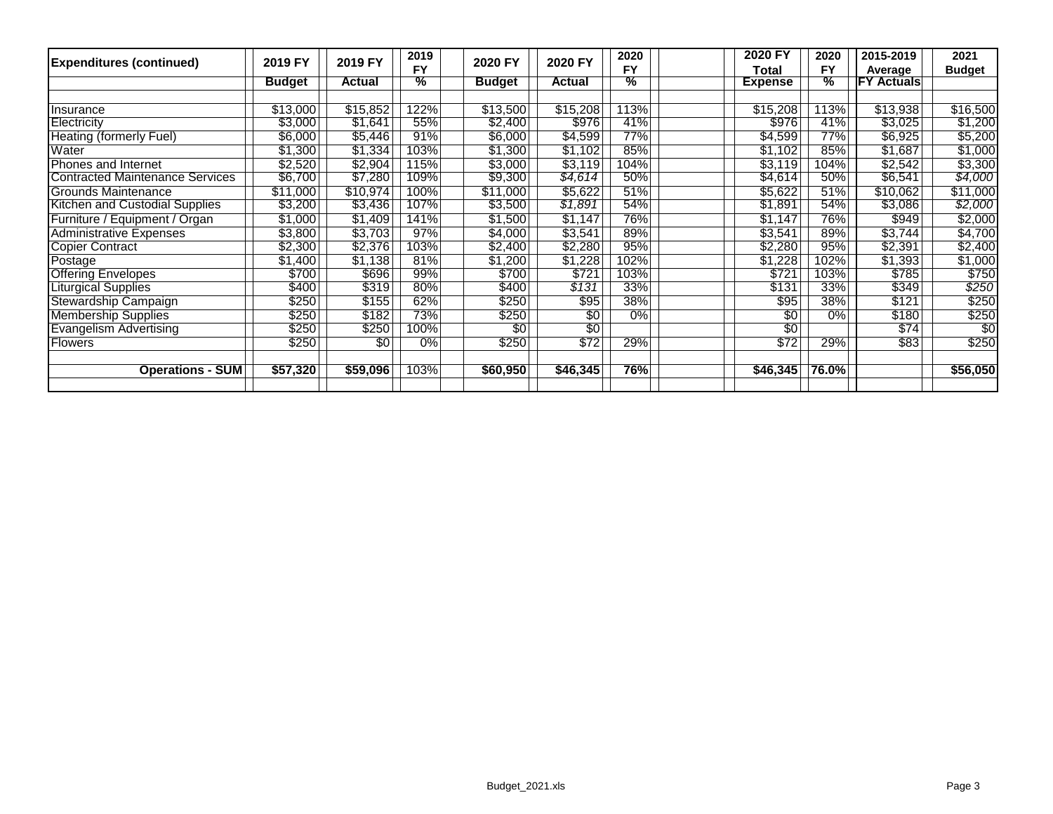|           |                                                                                          | 2019                                                                            |                                                    |                                                                                         | 2020                                                                                 | 2020 FY         | 2020                                                                                                                                                                                    | 2015-2019                        | 2021                                                                          |
|-----------|------------------------------------------------------------------------------------------|---------------------------------------------------------------------------------|----------------------------------------------------|-----------------------------------------------------------------------------------------|--------------------------------------------------------------------------------------|-----------------|-----------------------------------------------------------------------------------------------------------------------------------------------------------------------------------------|----------------------------------|-------------------------------------------------------------------------------|
|           |                                                                                          | <b>FY</b>                                                                       |                                                    |                                                                                         | <b>FY</b>                                                                            | Total           | <b>FY</b>                                                                                                                                                                               | Average                          | <b>Budget</b>                                                                 |
|           |                                                                                          |                                                                                 |                                                    |                                                                                         |                                                                                      | <b>Expense</b>  |                                                                                                                                                                                         |                                  |                                                                               |
|           |                                                                                          |                                                                                 |                                                    |                                                                                         |                                                                                      |                 |                                                                                                                                                                                         |                                  |                                                                               |
|           |                                                                                          |                                                                                 |                                                    |                                                                                         |                                                                                      |                 |                                                                                                                                                                                         |                                  | \$16,500                                                                      |
| \$3,000   |                                                                                          |                                                                                 |                                                    |                                                                                         |                                                                                      | \$976           | 41%                                                                                                                                                                                     | \$3,025                          | \$1,200                                                                       |
| \$6,000   | \$5,446                                                                                  | 91%                                                                             | \$6,000                                            | \$4,599                                                                                 |                                                                                      |                 | 77%                                                                                                                                                                                     | \$6,925                          | \$5,200                                                                       |
|           | \$1,334                                                                                  | 103%                                                                            |                                                    |                                                                                         |                                                                                      |                 | 85%                                                                                                                                                                                     |                                  | \$1,000                                                                       |
| \$2,520   | \$2,904                                                                                  | 115%                                                                            | \$3,000                                            | \$3,119                                                                                 |                                                                                      | \$3,119         | 104%                                                                                                                                                                                    | \$2,542                          | \$3,300                                                                       |
|           |                                                                                          |                                                                                 |                                                    |                                                                                         |                                                                                      |                 |                                                                                                                                                                                         |                                  | \$4,000                                                                       |
| \$11,000  | \$10,974                                                                                 | 100%                                                                            | \$11,000                                           | \$5,622                                                                                 |                                                                                      | \$5,622         | 51%                                                                                                                                                                                     | \$10,062                         | \$11,000                                                                      |
| \$3,200   | \$3,436                                                                                  | 107%                                                                            | \$3,500                                            | \$1,891                                                                                 |                                                                                      | \$1,891         | 54%                                                                                                                                                                                     | \$3,086                          | \$2,000                                                                       |
| \$1,000   | \$1,409                                                                                  | 141%                                                                            | \$1,500                                            | \$1,147                                                                                 |                                                                                      | \$1,147         | 76%                                                                                                                                                                                     | \$949                            | \$2,000                                                                       |
| \$3,800   | \$3,703                                                                                  | 97%                                                                             | \$4,000                                            | \$3,541                                                                                 |                                                                                      | \$3,541         | 89%                                                                                                                                                                                     | \$3,744                          | \$4,700                                                                       |
| \$2,300   | \$2,376                                                                                  | 103%                                                                            | \$2,400                                            | \$2,280                                                                                 |                                                                                      | \$2,280         | 95%                                                                                                                                                                                     | \$2,391                          | \$2,400                                                                       |
| ا 1,400\$ | \$1,138                                                                                  | 81%                                                                             | \$1,200                                            | \$1,228                                                                                 |                                                                                      | \$1,228         | 102%                                                                                                                                                                                    | \$1,393                          | \$1,000                                                                       |
| \$700     | \$696                                                                                    | 99%                                                                             | \$700                                              | \$721                                                                                   |                                                                                      | \$721           | 103%                                                                                                                                                                                    | \$785                            | \$750                                                                         |
|           |                                                                                          |                                                                                 |                                                    |                                                                                         |                                                                                      |                 |                                                                                                                                                                                         |                                  | \$250                                                                         |
| \$250     | \$155                                                                                    | 62%                                                                             | \$250                                              | \$95                                                                                    |                                                                                      | \$95            | 38%                                                                                                                                                                                     | \$121                            | \$250                                                                         |
| \$250     | \$182                                                                                    |                                                                                 | \$250                                              | \$0                                                                                     |                                                                                      |                 | 0%                                                                                                                                                                                      |                                  | \$250                                                                         |
| \$250     | \$250                                                                                    | 100%                                                                            | \$0                                                | $\overline{50}$                                                                         |                                                                                      | $\overline{50}$ |                                                                                                                                                                                         | \$74                             | $\overline{50}$                                                               |
|           | \$0                                                                                      | 0%                                                                              |                                                    |                                                                                         | 29%                                                                                  |                 | 29%                                                                                                                                                                                     |                                  | \$250                                                                         |
|           |                                                                                          |                                                                                 |                                                    |                                                                                         |                                                                                      |                 |                                                                                                                                                                                         |                                  |                                                                               |
|           |                                                                                          | 103%                                                                            | \$60,950                                           | \$46,345                                                                                | 76%                                                                                  | \$46,345        |                                                                                                                                                                                         |                                  | \$56,050                                                                      |
|           | 2019 FY<br><b>Budget</b><br>\$13,000<br>\$1,300<br>\$6,700<br>\$400<br>\$250<br>\$57,320 | 2019 FY<br><b>Actual</b><br>\$15,852<br>\$1,641<br>\$7,280<br>\$319<br>\$59,096 | $\frac{9}{6}$<br>122%<br>55%<br>109%<br>80%<br>73% | 2020 FY<br><b>Budget</b><br>\$13,500<br>\$2,400<br>\$1,300<br>\$9,300<br>\$400<br>\$250 | 2020 FY<br><b>Actual</b><br>\$15,208<br>\$976<br>\$1,102<br>\$4,614<br>\$131<br>\$72 | $\frac{9}{6}$   | 113%<br>\$15,208<br>41%<br>\$4,599<br>77%<br>\$1,102<br>85%<br>104%<br>\$4,614<br>50%<br>51%<br>54%<br>76%<br>89%<br>95%<br>102%<br>103%<br>33%<br>\$131<br>38%<br>$0\%$<br>\$0<br>\$72 | ℅<br>113%<br>50%<br>33%<br>76.0% | <b>FY Actuals</b><br>\$13,938<br>\$1,687<br>\$6,541<br>\$349<br>\$180<br>\$83 |